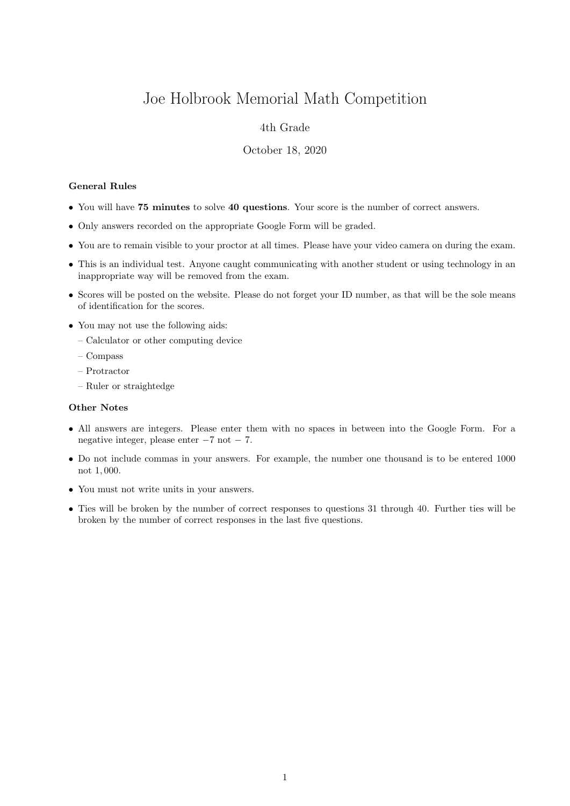# Joe Holbrook Memorial Math Competition

## 4th Grade

#### October 18, 2020

### General Rules

- You will have 75 minutes to solve 40 questions. Your score is the number of correct answers.
- Only answers recorded on the appropriate Google Form will be graded.
- You are to remain visible to your proctor at all times. Please have your video camera on during the exam.
- This is an individual test. Anyone caught communicating with another student or using technology in an inappropriate way will be removed from the exam.
- Scores will be posted on the website. Please do not forget your ID number, as that will be the sole means of identification for the scores.
- You may not use the following aids:
	- Calculator or other computing device
	- Compass
	- Protractor
	- Ruler or straightedge

#### Other Notes

- All answers are integers. Please enter them with no spaces in between into the Google Form. For a negative integer, please enter −7 not − 7.
- Do not include commas in your answers. For example, the number one thousand is to be entered 1000 not 1, 000.
- You must not write units in your answers.
- Ties will be broken by the number of correct responses to questions 31 through 40. Further ties will be broken by the number of correct responses in the last five questions.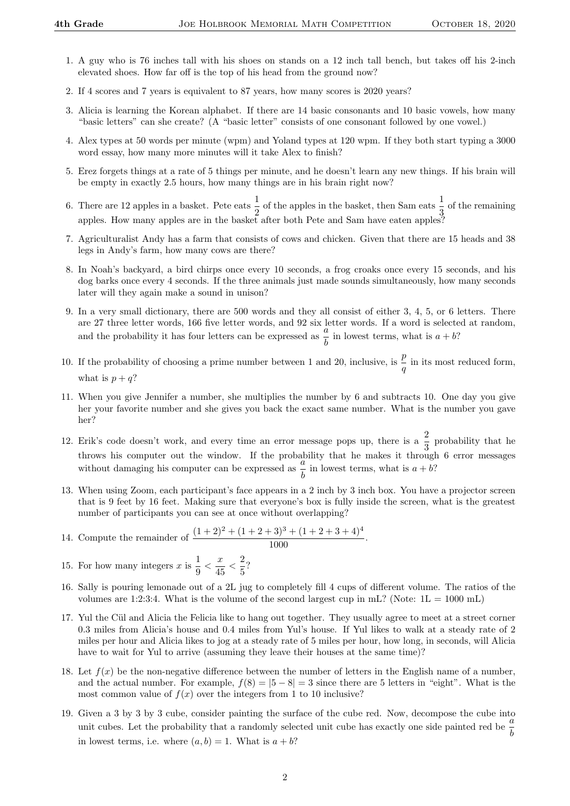- 1. A guy who is 76 inches tall with his shoes on stands on a 12 inch tall bench, but takes off his 2-inch elevated shoes. How far off is the top of his head from the ground now?
- 2. If 4 scores and 7 years is equivalent to 87 years, how many scores is 2020 years?
- 3. Alicia is learning the Korean alphabet. If there are 14 basic consonants and 10 basic vowels, how many "basic letters" can she create? (A "basic letter" consists of one consonant followed by one vowel.)
- 4. Alex types at 50 words per minute (wpm) and Yoland types at 120 wpm. If they both start typing a 3000 word essay, how many more minutes will it take Alex to finish?
- 5. Erez forgets things at a rate of 5 things per minute, and he doesn't learn any new things. If his brain will be empty in exactly 2.5 hours, how many things are in his brain right now?
- 6. There are 12 apples in a basket. Pete eats  $\frac{1}{2}$  of the apples in the basket, then Sam eats  $\frac{1}{3}$  of the remaining apples. How many apples are in the basket after both Pete and Sam have eaten apples?
- 7. Agriculturalist Andy has a farm that consists of cows and chicken. Given that there are 15 heads and 38 legs in Andy's farm, how many cows are there?
- 8. In Noah's backyard, a bird chirps once every 10 seconds, a frog croaks once every 15 seconds, and his dog barks once every 4 seconds. If the three animals just made sounds simultaneously, how many seconds later will they again make a sound in unison?
- 9. In a very small dictionary, there are 500 words and they all consist of either 3, 4, 5, or 6 letters. There are 27 three letter words, 166 five letter words, and 92 six letter words. If a word is selected at random, and the probability it has four letters can be expressed as  $\frac{a}{b}$  in lowest terms, what is  $a + b$ ?
- 10. If the probability of choosing a prime number between 1 and 20, inclusive, is  $\frac{p}{q}$  in its most reduced form, what is  $p + q$ ?
- 11. When you give Jennifer a number, she multiplies the number by 6 and subtracts 10. One day you give her your favorite number and she gives you back the exact same number. What is the number you gave her?
- 12. Erik's code doesn't work, and every time an error message pops up, there is a  $\frac{2}{3}$  probability that he throws his computer out the window. If the probability that he makes it through 6 error messages without damaging his computer can be expressed as  $\frac{a}{b}$  in lowest terms, what is  $a + b$ ?
- 13. When using Zoom, each participant's face appears in a 2 inch by 3 inch box. You have a projector screen that is 9 feet by 16 feet. Making sure that everyone's box is fully inside the screen, what is the greatest number of participants you can see at once without overlapping?
- 14. Compute the remainder of  $\frac{(1+2)^2 + (1+2+3)^3 + (1+2+3+4)^4}{1000}$ .
- 15. For how many integers x is  $\frac{1}{2}$  $\frac{1}{9} < \frac{x}{45}$  $\frac{x}{45} < \frac{2}{5}$  $\frac{1}{5}$ ?
- 16. Sally is pouring lemonade out of a 2L jug to completely fill 4 cups of different volume. The ratios of the volumes are 1:2:3:4. What is the volume of the second largest cup in mL? (Note:  $1L = 1000$  mL)
- 17. Yul the Cül and Alicia the Felicia like to hang out together. They usually agree to meet at a street corner 0.3 miles from Alicia's house and 0.4 miles from Yul's house. If Yul likes to walk at a steady rate of 2 miles per hour and Alicia likes to jog at a steady rate of 5 miles per hour, how long, in seconds, will Alicia have to wait for Yul to arrive (assuming they leave their houses at the same time)?
- 18. Let  $f(x)$  be the non-negative difference between the number of letters in the English name of a number, and the actual number. For example,  $f(8) = |5 - 8| = 3$  since there are 5 letters in "eight". What is the most common value of  $f(x)$  over the integers from 1 to 10 inclusive?
- 19. Given a 3 by 3 by 3 cube, consider painting the surface of the cube red. Now, decompose the cube into unit cubes. Let the probability that a randomly selected unit cube has exactly one side painted red be  $\frac{a}{b}$ in lowest terms, i.e. where  $(a, b) = 1$ . What is  $a + b$ ?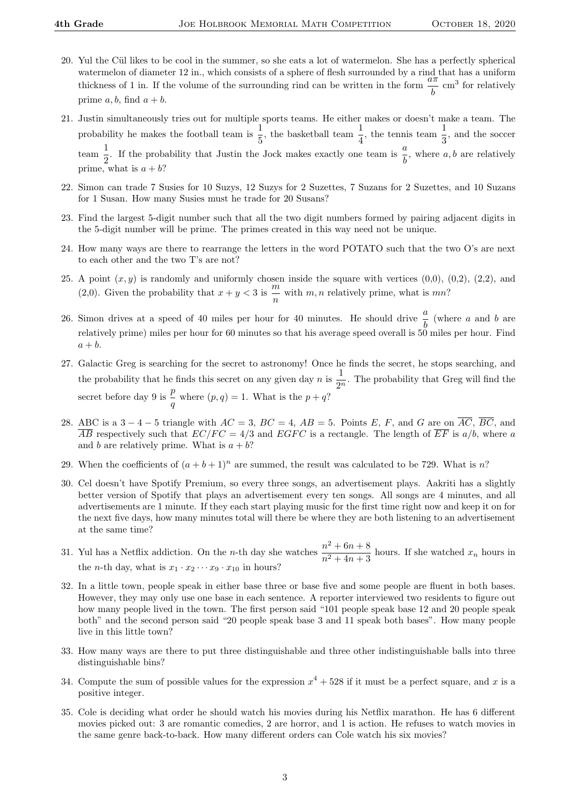- 20. Yul the Cül likes to be cool in the summer, so she eats a lot of watermelon. She has a perfectly spherical watermelon of diameter 12 in., which consists of a sphere of flesh surrounded by a rind that has a uniform thickness of 1 in. If the volume of the surrounding rind can be written in the form  $\frac{a\pi}{b}$  cm<sup>3</sup> for relatively prime  $a, b$ , find  $a + b$ .
- 21. Justin simultaneously tries out for multiple sports teams. He either makes or doesn't make a team. The probability he makes the football team is  $\frac{1}{5}$ , the basketball team  $\frac{1}{4}$ , the tennis team  $\frac{1}{3}$ , and the soccer  $\frac{1}{2}$  $\frac{1}{2}$ . If the probability that Justin the Jock makes exactly one team is  $\frac{a}{b}$ , where a, b are relatively prime, what is  $a + b$ ?
- 22. Simon can trade 7 Susies for 10 Suzys, 12 Suzys for 2 Suzettes, 7 Suzans for 2 Suzettes, and 10 Suzans for 1 Susan. How many Susies must he trade for 20 Susans?
- 23. Find the largest 5-digit number such that all the two digit numbers formed by pairing adjacent digits in the 5-digit number will be prime. The primes created in this way need not be unique.
- 24. How many ways are there to rearrange the letters in the word POTATO such that the two O's are next to each other and the two T's are not?
- 25. A point  $(x, y)$  is randomly and uniformly chosen inside the square with vertices  $(0,0)$ ,  $(0,2)$ ,  $(2,2)$ , and (2,0). Given the probability that  $x + y < 3$  is  $\frac{m}{2}$  $\frac{m}{n}$  with  $m, n$  relatively prime, what is  $mn$ ?
- 26. Simon drives at a speed of 40 miles per hour for 40 minutes. He should drive  $\frac{a}{b}$  (where a and b are relatively prime) miles per hour for 60 minutes so that his average speed overall is 50 miles per hour. Find  $a + b$ .
- 27. Galactic Greg is searching for the secret to astronomy! Once he finds the secret, he stops searching, and the probability that he finds this secret on any given day n is  $\frac{1}{2}$  $\frac{1}{2^n}$ . The probability that Greg will find the secret before day 9 is  $\frac{p}{q}$  where  $(p, q) = 1$ . What is the  $p + q$ ?
- 28. ABC is a  $3-4-5$  triangle with  $AC = 3$ ,  $BC = 4$ ,  $AB = 5$ . Points E, F, and G are on  $\overline{AC}$ ,  $\overline{BC}$ , and  $\overline{AB}$  respectively such that  $EC/FC = 4/3$  and  $EGFC$  is a rectangle. The length of  $\overline{EF}$  is  $a/b$ , where a and b are relatively prime. What is  $a + b$ ?
- 29. When the coefficients of  $(a + b + 1)^n$  are summed, the result was calculated to be 729. What is n?
- 30. Cel doesn't have Spotify Premium, so every three songs, an advertisement plays. Aakriti has a slightly better version of Spotify that plays an advertisement every ten songs. All songs are 4 minutes, and all advertisements are 1 minute. If they each start playing music for the first time right now and keep it on for the next five days, how many minutes total will there be where they are both listening to an advertisement at the same time?
- 31. Yul has a Netflix addiction. On the *n*-th day she watches  $\frac{n^2 + 6n + 8}{3(n+1)}$  $\frac{n+6n+8}{n^2+4n+3}$  hours. If she watched  $x_n$  hours in the *n*-th day, what is  $x_1 \cdot x_2 \cdots x_9 \cdot x_{10}$  in hours?
- 32. In a little town, people speak in either base three or base five and some people are fluent in both bases. However, they may only use one base in each sentence. A reporter interviewed two residents to figure out how many people lived in the town. The first person said "101 people speak base 12 and 20 people speak both" and the second person said "20 people speak base 3 and 11 speak both bases". How many people live in this little town?
- 33. How many ways are there to put three distinguishable and three other indistinguishable balls into three distinguishable bins?
- 34. Compute the sum of possible values for the expression  $x^4 + 528$  if it must be a perfect square, and x is a positive integer.
- 35. Cole is deciding what order he should watch his movies during his Netflix marathon. He has 6 different movies picked out: 3 are romantic comedies, 2 are horror, and 1 is action. He refuses to watch movies in the same genre back-to-back. How many different orders can Cole watch his six movies?